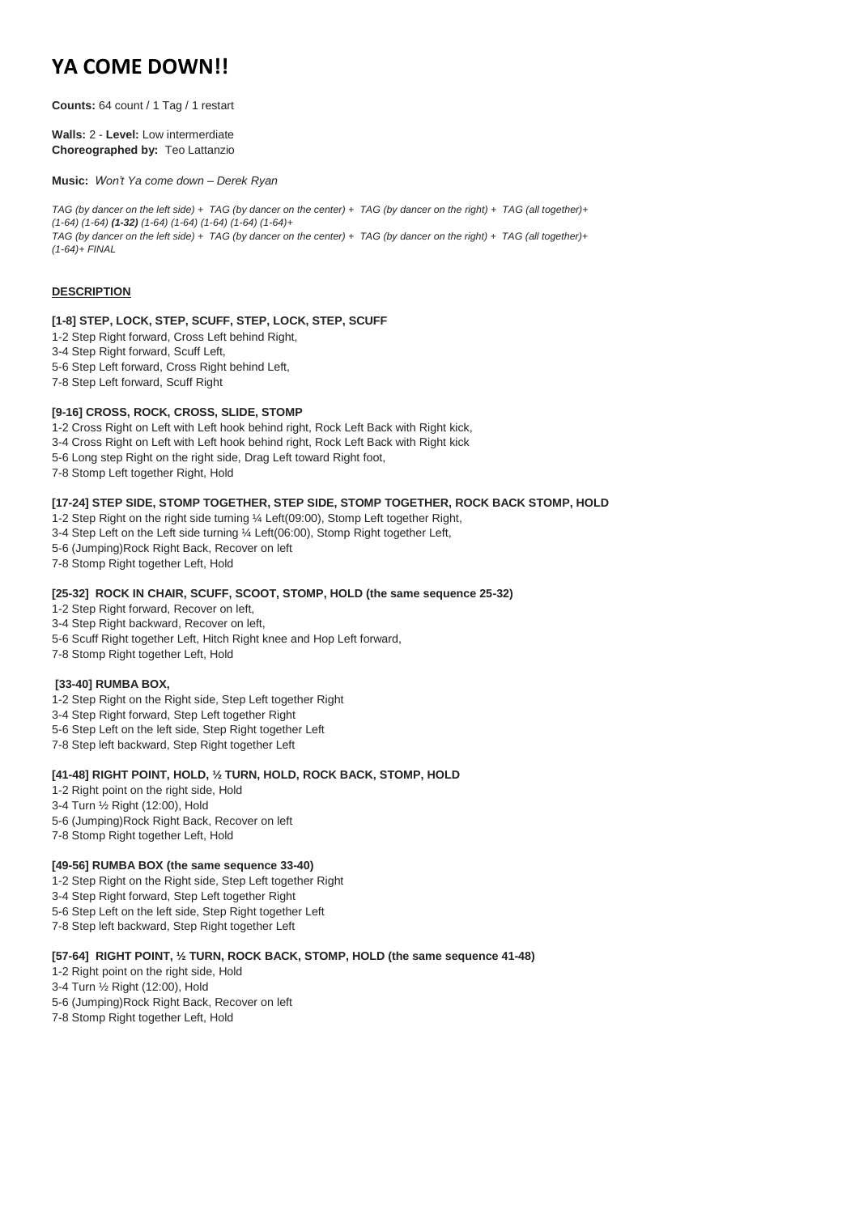# **YA COME DOWN!!**

**Counts:** 64 count / 1 Tag / 1 restart

**Walls:** 2 - **Level:** Low intermerdiate **Choreographed by:** Teo Lattanzio

**Music:** *Won't Ya come down – Derek Ryan*

*TAG (by dancer on the left side) + TAG (by dancer on the center) + TAG (by dancer on the right) + TAG (all together)+ (1-64) (1-64) (1-32) (1-64) (1-64) (1-64) (1-64) (1-64)+ TAG (by dancer on the left side) + TAG (by dancer on the center) + TAG (by dancer on the right) + TAG (all together)+ (1-64)+ FINAL*

#### **DESCRIPTION**

#### **[1-8] STEP, LOCK, STEP, SCUFF, STEP, LOCK, STEP, SCUFF**

- 1-2 Step Right forward, Cross Left behind Right,
- 3-4 Step Right forward, Scuff Left,
- 5-6 Step Left forward, Cross Right behind Left,
- 7-8 Step Left forward, Scuff Right

#### **[9-16] CROSS, ROCK, CROSS, SLIDE, STOMP**

- 1-2 Cross Right on Left with Left hook behind right, Rock Left Back with Right kick, 3-4 Cross Right on Left with Left hook behind right, Rock Left Back with Right kick 5-6 Long step Right on the right side, Drag Left toward Right foot,
- 7-8 Stomp Left together Right, Hold

#### **[17-24] STEP SIDE, STOMP TOGETHER, STEP SIDE, STOMP TOGETHER, ROCK BACK STOMP, HOLD**

- 1-2 Step Right on the right side turning ¼ Left(09:00), Stomp Left together Right,
- 3-4 Step Left on the Left side turning ¼ Left(06:00), Stomp Right together Left,
- 5-6 (Jumping)Rock Right Back, Recover on left
- 7-8 Stomp Right together Left, Hold

#### **[25-32] ROCK IN CHAIR, SCUFF, SCOOT, STOMP, HOLD (the same sequence 25-32)**

- 1-2 Step Right forward, Recover on left,
- 3-4 Step Right backward, Recover on left,
- 5-6 Scuff Right together Left, Hitch Right knee and Hop Left forward,
- 7-8 Stomp Right together Left, Hold

#### **[33-40] RUMBA BOX,**

- 1-2 Step Right on the Right side, Step Left together Right
- 3-4 Step Right forward, Step Left together Right
- 5-6 Step Left on the left side, Step Right together Left
- 7-8 Step left backward, Step Right together Left

#### **[41-48] RIGHT POINT, HOLD, ½ TURN, HOLD, ROCK BACK, STOMP, HOLD**

- 1-2 Right point on the right side, Hold
- 3-4 Turn ½ Right (12:00), Hold
- 5-6 (Jumping)Rock Right Back, Recover on left
- 7-8 Stomp Right together Left, Hold

#### **[49-56] RUMBA BOX (the same sequence 33-40)**

- 1-2 Step Right on the Right side, Step Left together Right
- 3-4 Step Right forward, Step Left together Right
- 5-6 Step Left on the left side, Step Right together Left
- 7-8 Step left backward, Step Right together Left

# **[57-64] RIGHT POINT, ½ TURN, ROCK BACK, STOMP, HOLD (the same sequence 41-48)**

- 1-2 Right point on the right side, Hold
- 3-4 Turn ½ Right (12:00), Hold
- 5-6 (Jumping)Rock Right Back, Recover on left
- 7-8 Stomp Right together Left, Hold